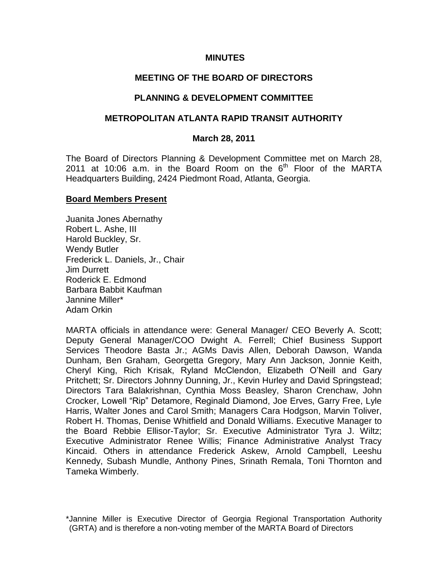#### **MINUTES**

### **MEETING OF THE BOARD OF DIRECTORS**

#### **PLANNING & DEVELOPMENT COMMITTEE**

### **METROPOLITAN ATLANTA RAPID TRANSIT AUTHORITY**

#### **March 28, 2011**

The Board of Directors Planning & Development Committee met on March 28, 2011 at 10:06 a.m. in the Board Room on the  $6<sup>th</sup>$  Floor of the MARTA Headquarters Building, 2424 Piedmont Road, Atlanta, Georgia.

#### **Board Members Present**

Juanita Jones Abernathy Robert L. Ashe, III Harold Buckley, Sr. Wendy Butler Frederick L. Daniels, Jr., Chair Jim Durrett Roderick E. Edmond Barbara Babbit Kaufman Jannine Miller\* Adam Orkin

MARTA officials in attendance were: General Manager/ CEO Beverly A. Scott; Deputy General Manager/COO Dwight A. Ferrell; Chief Business Support Services Theodore Basta Jr.; AGMs Davis Allen, Deborah Dawson, Wanda Dunham, Ben Graham, Georgetta Gregory, Mary Ann Jackson, Jonnie Keith, Cheryl King, Rich Krisak, Ryland McClendon, Elizabeth O"Neill and Gary Pritchett; Sr. Directors Johnny Dunning, Jr., Kevin Hurley and David Springstead; Directors Tara Balakrishnan, Cynthia Moss Beasley, Sharon Crenchaw, John Crocker, Lowell "Rip" Detamore, Reginald Diamond, Joe Erves, Garry Free, Lyle Harris, Walter Jones and Carol Smith; Managers Cara Hodgson, Marvin Toliver, Robert H. Thomas, Denise Whitfield and Donald Williams. Executive Manager to the Board Rebbie Ellisor-Taylor; Sr. Executive Administrator Tyra J. Wiltz; Executive Administrator Renee Willis; Finance Administrative Analyst Tracy Kincaid. Others in attendance Frederick Askew, Arnold Campbell, Leeshu Kennedy, Subash Mundle, Anthony Pines, Srinath Remala, Toni Thornton and Tameka Wimberly.

<sup>\*</sup>Jannine Miller is Executive Director of Georgia Regional Transportation Authority (GRTA) and is therefore a non-voting member of the MARTA Board of Directors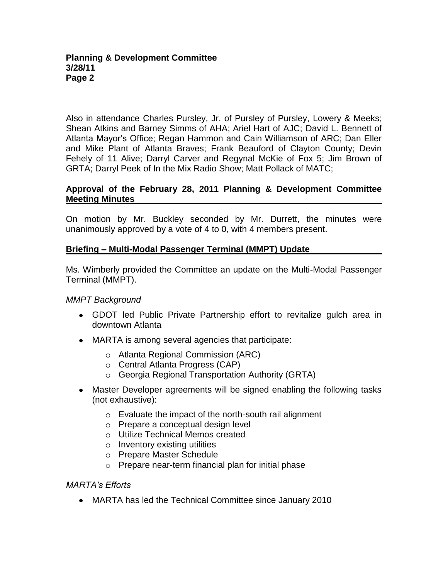#### **Planning & Development Committee 3/28/11 Page 2**

Also in attendance Charles Pursley, Jr. of Pursley of Pursley, Lowery & Meeks; Shean Atkins and Barney Simms of AHA; Ariel Hart of AJC; David L. Bennett of Atlanta Mayor"s Office; Regan Hammon and Cain Williamson of ARC; Dan Eller and Mike Plant of Atlanta Braves; Frank Beauford of Clayton County; Devin Fehely of 11 Alive; Darryl Carver and Regynal McKie of Fox 5; Jim Brown of GRTA; Darryl Peek of In the Mix Radio Show; Matt Pollack of MATC;

## **Approval of the February 28, 2011 Planning & Development Committee Meeting Minutes**

On motion by Mr. Buckley seconded by Mr. Durrett, the minutes were unanimously approved by a vote of 4 to 0, with 4 members present.

## **Briefing – Multi-Modal Passenger Terminal (MMPT) Update**

Ms. Wimberly provided the Committee an update on the Multi-Modal Passenger Terminal (MMPT).

## *MMPT Background*

- GDOT led Public Private Partnership effort to revitalize gulch area in downtown Atlanta
- MARTA is among several agencies that participate:
	- o Atlanta Regional Commission (ARC)
	- o Central Atlanta Progress (CAP)
	- o Georgia Regional Transportation Authority (GRTA)
- Master Developer agreements will be signed enabling the following tasks (not exhaustive):
	- o Evaluate the impact of the north-south rail alignment
	- o Prepare a conceptual design level
	- o Utilize Technical Memos created
	- o Inventory existing utilities
	- o Prepare Master Schedule
	- o Prepare near-term financial plan for initial phase

## *MARTA's Efforts*

MARTA has led the Technical Committee since January 2010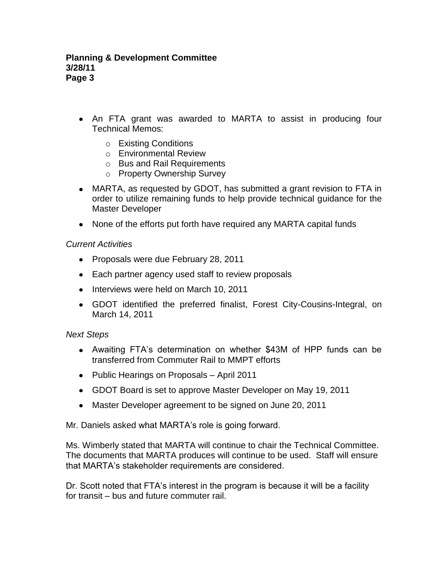- An FTA grant was awarded to MARTA to assist in producing four Technical Memos:
	- o Existing Conditions
	- o Environmental Review
	- o Bus and Rail Requirements
	- o Property Ownership Survey
- MARTA, as requested by GDOT, has submitted a grant revision to FTA in order to utilize remaining funds to help provide technical guidance for the Master Developer
- None of the efforts put forth have required any MARTA capital funds

### *Current Activities*

- Proposals were due February 28, 2011
- Each partner agency used staff to review proposals
- Interviews were held on March 10, 2011
- GDOT identified the preferred finalist, Forest City-Cousins-Integral, on March 14, 2011

#### *Next Steps*

- Awaiting FTA"s determination on whether \$43M of HPP funds can be transferred from Commuter Rail to MMPT efforts
- Public Hearings on Proposals April 2011
- GDOT Board is set to approve Master Developer on May 19, 2011
- Master Developer agreement to be signed on June 20, 2011

Mr. Daniels asked what MARTA"s role is going forward.

Ms. Wimberly stated that MARTA will continue to chair the Technical Committee. The documents that MARTA produces will continue to be used. Staff will ensure that MARTA"s stakeholder requirements are considered.

Dr. Scott noted that FTA's interest in the program is because it will be a facility for transit – bus and future commuter rail.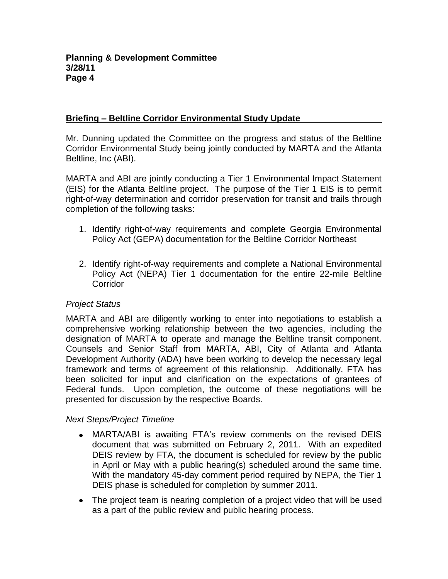## **Briefing – Beltline Corridor Environmental Study Update**

Mr. Dunning updated the Committee on the progress and status of the Beltline Corridor Environmental Study being jointly conducted by MARTA and the Atlanta Beltline, Inc (ABI).

MARTA and ABI are jointly conducting a Tier 1 Environmental Impact Statement (EIS) for the Atlanta Beltline project. The purpose of the Tier 1 EIS is to permit right-of-way determination and corridor preservation for transit and trails through completion of the following tasks:

- 1. Identify right-of-way requirements and complete Georgia Environmental Policy Act (GEPA) documentation for the Beltline Corridor Northeast
- 2. Identify right-of-way requirements and complete a National Environmental Policy Act (NEPA) Tier 1 documentation for the entire 22-mile Beltline **Corridor**

## *Project Status*

MARTA and ABI are diligently working to enter into negotiations to establish a comprehensive working relationship between the two agencies, including the designation of MARTA to operate and manage the Beltline transit component. Counsels and Senior Staff from MARTA, ABI, City of Atlanta and Atlanta Development Authority (ADA) have been working to develop the necessary legal framework and terms of agreement of this relationship. Additionally, FTA has been solicited for input and clarification on the expectations of grantees of Federal funds. Upon completion, the outcome of these negotiations will be presented for discussion by the respective Boards.

## *Next Steps/Project Timeline*

- MARTA/ABI is awaiting FTA's review comments on the revised DEIS document that was submitted on February 2, 2011. With an expedited DEIS review by FTA, the document is scheduled for review by the public in April or May with a public hearing(s) scheduled around the same time. With the mandatory 45-day comment period required by NEPA, the Tier 1 DEIS phase is scheduled for completion by summer 2011.
- The project team is nearing completion of a project video that will be used as a part of the public review and public hearing process.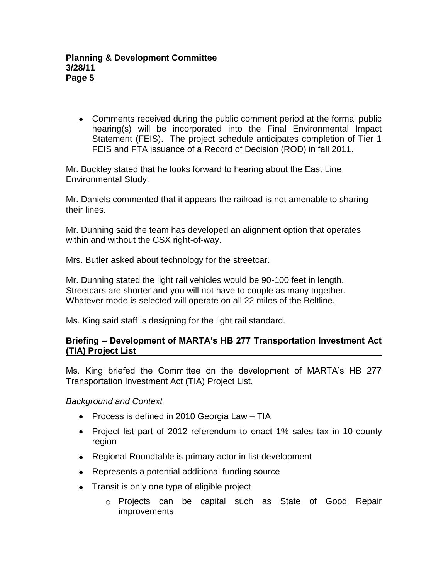Comments received during the public comment period at the formal public hearing(s) will be incorporated into the Final Environmental Impact Statement (FEIS). The project schedule anticipates completion of Tier 1 FEIS and FTA issuance of a Record of Decision (ROD) in fall 2011.

Mr. Buckley stated that he looks forward to hearing about the East Line Environmental Study.

Mr. Daniels commented that it appears the railroad is not amenable to sharing their lines.

Mr. Dunning said the team has developed an alignment option that operates within and without the CSX right-of-way.

Mrs. Butler asked about technology for the streetcar.

Mr. Dunning stated the light rail vehicles would be 90-100 feet in length. Streetcars are shorter and you will not have to couple as many together. Whatever mode is selected will operate on all 22 miles of the Beltline.

Ms. King said staff is designing for the light rail standard.

## **Briefing – Development of MARTA's HB 277 Transportation Investment Act (TIA) Project List**

Ms. King briefed the Committee on the development of MARTA"s HB 277 Transportation Investment Act (TIA) Project List.

# *Background and Context*

- Process is defined in 2010 Georgia Law  $-$  TIA
- Project list part of 2012 referendum to enact 1% sales tax in 10-county region
- Regional Roundtable is primary actor in list development
- Represents a potential additional funding source
- Transit is only one type of eligible project
	- o Projects can be capital such as State of Good Repair improvements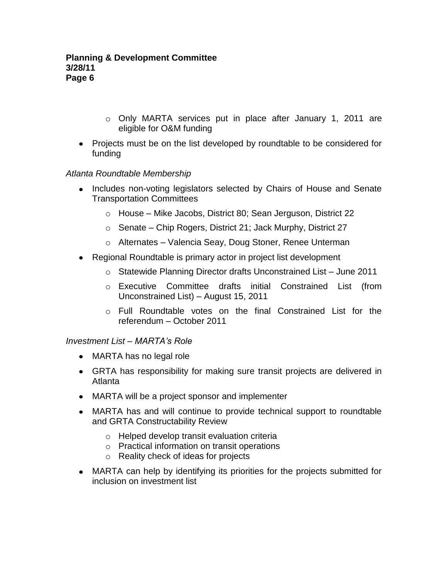- o Only MARTA services put in place after January 1, 2011 are eligible for O&M funding
- Projects must be on the list developed by roundtable to be considered for funding

## *Atlanta Roundtable Membership*

- Includes non-voting legislators selected by Chairs of House and Senate Transportation Committees
	- o House Mike Jacobs, District 80; Sean Jerguson, District 22
	- o Senate Chip Rogers, District 21; Jack Murphy, District 27
	- o Alternates Valencia Seay, Doug Stoner, Renee Unterman
- Regional Roundtable is primary actor in project list development
	- o Statewide Planning Director drafts Unconstrained List June 2011
	- o Executive Committee drafts initial Constrained List (from Unconstrained List) – August 15, 2011
	- o Full Roundtable votes on the final Constrained List for the referendum – October 2011

## *Investment List – MARTA's Role*

- MARTA has no legal role
- GRTA has responsibility for making sure transit projects are delivered in Atlanta
- MARTA will be a project sponsor and implementer
- MARTA has and will continue to provide technical support to roundtable and GRTA Constructability Review
	- o Helped develop transit evaluation criteria
	- o Practical information on transit operations
	- o Reality check of ideas for projects
- MARTA can help by identifying its priorities for the projects submitted for inclusion on investment list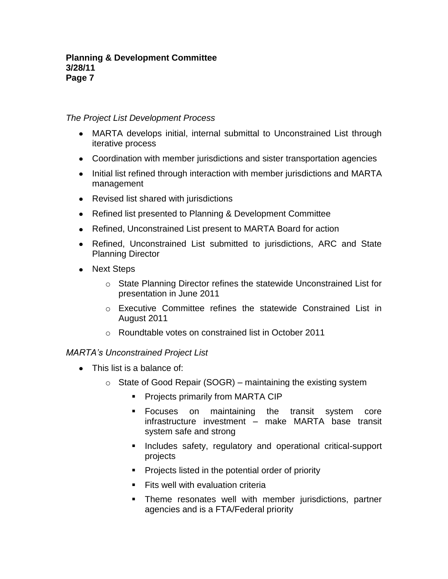## *The Project List Development Process*

- MARTA develops initial, internal submittal to Unconstrained List through iterative process
- Coordination with member jurisdictions and sister transportation agencies
- Initial list refined through interaction with member jurisdictions and MARTA management
- Revised list shared with jurisdictions
- Refined list presented to Planning & Development Committee
- Refined, Unconstrained List present to MARTA Board for action
- Refined, Unconstrained List submitted to jurisdictions, ARC and State Planning Director
- Next Steps
	- $\circ$  State Planning Director refines the statewide Unconstrained List for presentation in June 2011
	- o Executive Committee refines the statewide Constrained List in August 2011
	- o Roundtable votes on constrained list in October 2011

# *MARTA's Unconstrained Project List*

- This list is a balance of:
	- $\circ$  State of Good Repair (SOGR) maintaining the existing system
		- **Projects primarily from MARTA CIP**
		- Focuses on maintaining the transit system core infrastructure investment – make MARTA base transit system safe and strong
		- **Includes safety, regulatory and operational critical-support** projects
		- **Projects listed in the potential order of priority**
		- $\blacksquare$  Fits well with evaluation criteria
		- **Theme resonates well with member jurisdictions, partner** agencies and is a FTA/Federal priority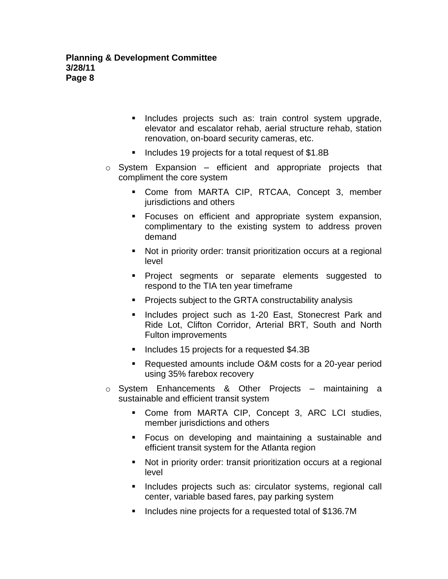- **Includes projects such as: train control system upgrade,** elevator and escalator rehab, aerial structure rehab, station renovation, on-board security cameras, etc.
- Includes 19 projects for a total request of \$1.8B
- $\circ$  System Expansion efficient and appropriate projects that compliment the core system
	- Come from MARTA CIP, RTCAA, Concept 3, member jurisdictions and others
	- Focuses on efficient and appropriate system expansion, complimentary to the existing system to address proven demand
	- Not in priority order: transit prioritization occurs at a regional level
	- **Project segments or separate elements suggested to** respond to the TIA ten year timeframe
	- **Projects subject to the GRTA constructability analysis**
	- **Includes project such as 1-20 East, Stonecrest Park and** Ride Lot, Clifton Corridor, Arterial BRT, South and North Fulton improvements
	- **Includes 15 projects for a requested \$4.3B**
	- Requested amounts include O&M costs for a 20-year period using 35% farebox recovery
- o System Enhancements & Other Projects maintaining a sustainable and efficient transit system
	- Come from MARTA CIP, Concept 3, ARC LCI studies, member jurisdictions and others
	- Focus on developing and maintaining a sustainable and efficient transit system for the Atlanta region
	- Not in priority order: transit prioritization occurs at a regional level
	- **Includes projects such as: circulator systems, regional call** center, variable based fares, pay parking system
	- Includes nine projects for a requested total of \$136.7M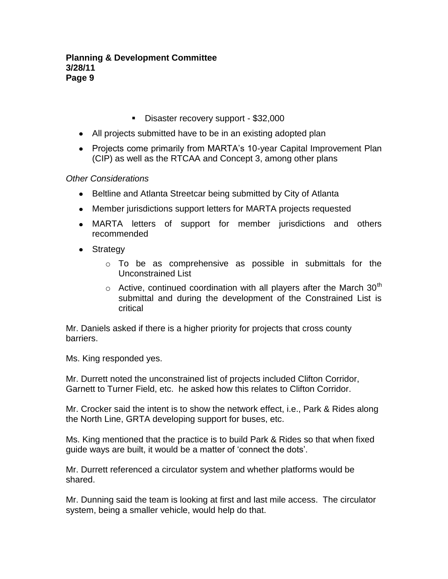- Disaster recovery support \$32,000
- All projects submitted have to be in an existing adopted plan
- Projects come primarily from MARTA's 10-year Capital Improvement Plan (CIP) as well as the RTCAA and Concept 3, among other plans

*Other Considerations*

- Beltline and Atlanta Streetcar being submitted by City of Atlanta
- Member jurisdictions support letters for MARTA projects requested
- MARTA letters of support for member jurisdictions and others recommended
- Strategy
	- o To be as comprehensive as possible in submittals for the Unconstrained List
	- $\circ$  Active, continued coordination with all players after the March 30<sup>th</sup> submittal and during the development of the Constrained List is critical

Mr. Daniels asked if there is a higher priority for projects that cross county barriers.

Ms. King responded yes.

Mr. Durrett noted the unconstrained list of projects included Clifton Corridor, Garnett to Turner Field, etc. he asked how this relates to Clifton Corridor.

Mr. Crocker said the intent is to show the network effect, i.e., Park & Rides along the North Line, GRTA developing support for buses, etc.

Ms. King mentioned that the practice is to build Park & Rides so that when fixed guide ways are built, it would be a matter of "connect the dots".

Mr. Durrett referenced a circulator system and whether platforms would be shared.

Mr. Dunning said the team is looking at first and last mile access. The circulator system, being a smaller vehicle, would help do that.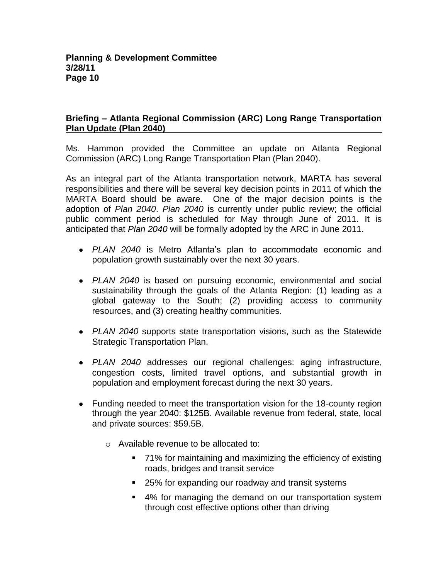## **Briefing – Atlanta Regional Commission (ARC) Long Range Transportation Plan Update (Plan 2040)**

Ms. Hammon provided the Committee an update on Atlanta Regional Commission (ARC) Long Range Transportation Plan (Plan 2040).

As an integral part of the Atlanta transportation network, MARTA has several responsibilities and there will be several key decision points in 2011 of which the MARTA Board should be aware. One of the major decision points is the adoption of *Plan 2040*. *Plan 2040* is currently under public review; the official public comment period is scheduled for May through June of 2011. It is anticipated that *Plan 2040* will be formally adopted by the ARC in June 2011.

- *PLAN 2040* is Metro Atlanta"s plan to accommodate economic and population growth sustainably over the next 30 years.
- *PLAN 2040* is based on pursuing economic, environmental and social sustainability through the goals of the Atlanta Region: (1) leading as a global gateway to the South; (2) providing access to community resources, and (3) creating healthy communities.
- *PLAN 2040* supports state transportation visions, such as the Statewide Strategic Transportation Plan.
- *PLAN 2040* addresses our regional challenges: aging infrastructure, congestion costs, limited travel options, and substantial growth in population and employment forecast during the next 30 years.
- Funding needed to meet the transportation vision for the 18-county region through the year 2040: \$125B. Available revenue from federal, state, local and private sources: \$59.5B.
	- o Available revenue to be allocated to:
		- 71% for maintaining and maximizing the efficiency of existing roads, bridges and transit service
		- 25% for expanding our roadway and transit systems
		- 4% for managing the demand on our transportation system through cost effective options other than driving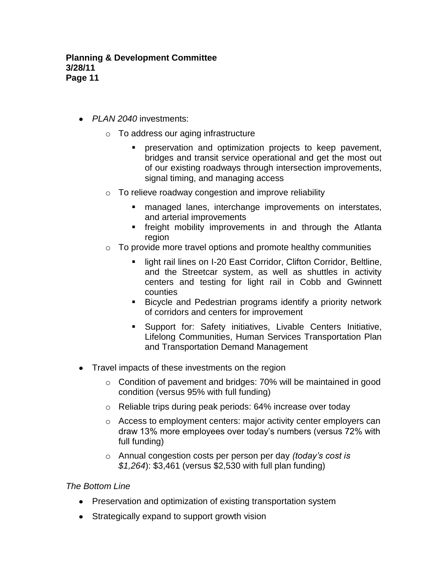- *PLAN 2040* investments:
	- o To address our aging infrastructure
		- **Permit preservation and optimization projects to keep pavement,** bridges and transit service operational and get the most out of our existing roadways through intersection improvements, signal timing, and managing access
	- $\circ$  To relieve roadway congestion and improve reliability
		- **nanaged lanes, interchange improvements on interstates,** and arterial improvements
		- **field in the interpolle in the Stand** freedth in and through the Atlanta region
	- $\circ$  To provide more travel options and promote healthy communities
		- **EXECT** light rail lines on I-20 East Corridor, Clifton Corridor, Beltline, and the Streetcar system, as well as shuttles in activity centers and testing for light rail in Cobb and Gwinnett counties
		- **Bicycle and Pedestrian programs identify a priority network** of corridors and centers for improvement
		- Support for: Safety initiatives, Livable Centers Initiative, Lifelong Communities, Human Services Transportation Plan and Transportation Demand Management
- Travel impacts of these investments on the region
	- o Condition of pavement and bridges: 70% will be maintained in good condition (versus 95% with full funding)
	- o Reliable trips during peak periods: 64% increase over today
	- o Access to employment centers: major activity center employers can draw 13% more employees over today"s numbers (versus 72% with full funding)
	- o Annual congestion costs per person per day *(today's cost is \$1,264*): \$3,461 (versus \$2,530 with full plan funding)

## *The Bottom Line*

- Preservation and optimization of existing transportation system
- Strategically expand to support growth vision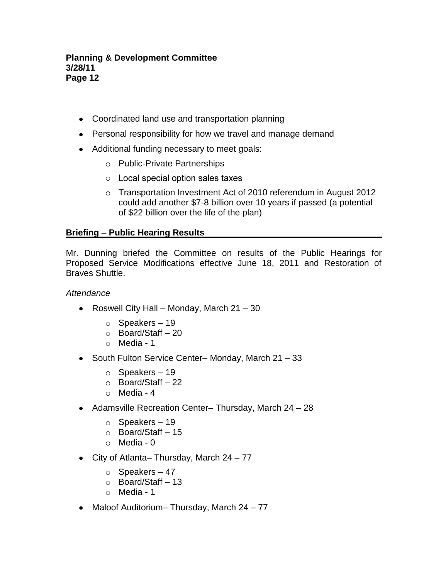### **Planning & Development Committee 3/28/11 Page 12**

- Coordinated land use and transportation planning
- Personal responsibility for how we travel and manage demand
- Additional funding necessary to meet goals:
	- o Public-Private Partnerships
	- $\circ$  Local special option sales taxes
	- o Transportation Investment Act of 2010 referendum in August 2012 could add another \$7-8 billion over 10 years if passed (a potential of \$22 billion over the life of the plan)

## **Briefing – Public Hearing Results**

Mr. Dunning briefed the Committee on results of the Public Hearings for Proposed Service Modifications effective June 18, 2011 and Restoration of Braves Shuttle.

### *Attendance*

- Roswell City Hall Monday, March  $21 30$ 
	- $\circ$  Speakers 19
	- o Board/Staff 20
	- $\circ$  Media 1
- South Fulton Service Center– Monday, March 21 33
	- $\circ$  Speakers 19
	- o Board/Staff 22
	- o Media 4
- Adamsville Recreation Center– Thursday, March 24 28
	- $\circ$  Speakers 19
	- o Board/Staff 15
	- o Media 0
- City of Atlanta– Thursday, March 24 77
	- $\circ$  Speakers 47
	- o Board/Staff 13
	- $\circ$  Media 1
- Maloof Auditorium– Thursday, March 24 77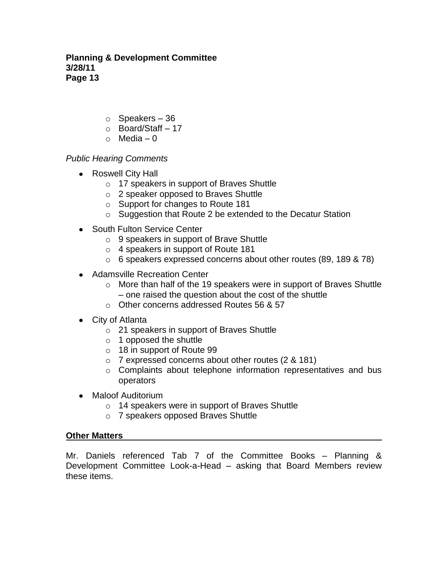**Planning & Development Committee 3/28/11 Page 13**

- $\circ$  Speakers 36
- o Board/Staff 17
- $\circ$  Media 0

## *Public Hearing Comments*

- Roswell City Hall
	- o 17 speakers in support of Braves Shuttle
	- o 2 speaker opposed to Braves Shuttle
	- o Support for changes to Route 181
	- o Suggestion that Route 2 be extended to the Decatur Station
- South Fulton Service Center
	- o 9 speakers in support of Brave Shuttle
	- o 4 speakers in support of Route 181
	- o 6 speakers expressed concerns about other routes (89, 189 & 78)
- Adamsville Recreation Center
	- o More than half of the 19 speakers were in support of Braves Shuttle – one raised the question about the cost of the shuttle
	- o Other concerns addressed Routes 56 & 57
- City of Atlanta
	- o 21 speakers in support of Braves Shuttle
	- $\circ$  1 opposed the shuttle
	- o 18 in support of Route 99
	- o 7 expressed concerns about other routes (2 & 181)
	- o Complaints about telephone information representatives and bus operators
- Maloof Auditorium
	- o 14 speakers were in support of Braves Shuttle
	- o 7 speakers opposed Braves Shuttle

## **Other Matters**

Mr. Daniels referenced Tab 7 of the Committee Books – Planning & Development Committee Look-a-Head – asking that Board Members review these items.